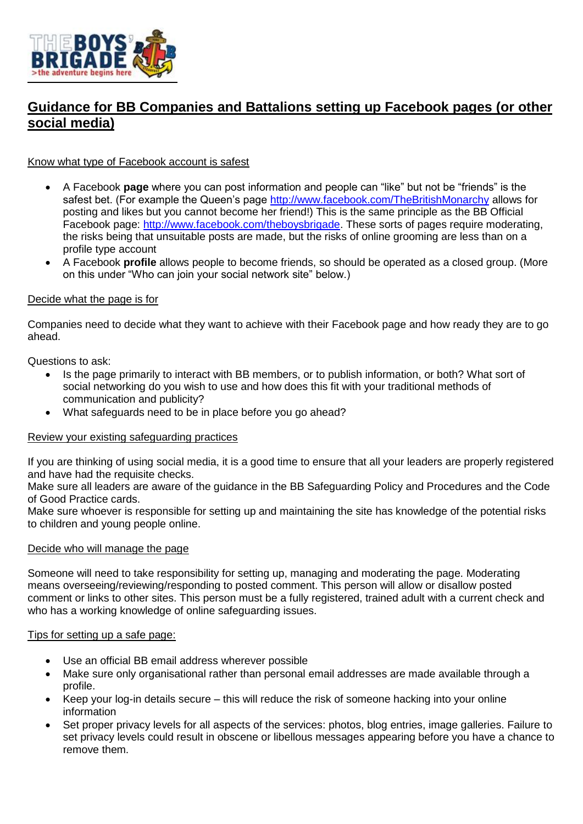

# **Guidance for BB Companies and Battalions setting up Facebook pages (or other social media)**

### Know what type of Facebook account is safest

- A Facebook **page** where you can post information and people can "like" but not be "friends" is the safest bet. (For example the Queen's page<http://www.facebook.com/TheBritishMonarchy> allows for posting and likes but you cannot become her friend!) This is the same principle as the BB Official Facebook page: [http://www.facebook.com/theboysbrigade.](http://www.facebook.com/theboysbrigade) These sorts of pages require moderating, the risks being that unsuitable posts are made, but the risks of online grooming are less than on a profile type account
- A Facebook **profile** allows people to become friends, so should be operated as a closed group. (More on this under "Who can join your social network site" below.)

### Decide what the page is for

Companies need to decide what they want to achieve with their Facebook page and how ready they are to go ahead.

Questions to ask:

- Is the page primarily to interact with BB members, or to publish information, or both? What sort of social networking do you wish to use and how does this fit with your traditional methods of communication and publicity?
- What safeguards need to be in place before you go ahead?

### Review your existing safeguarding practices

If you are thinking of using social media, it is a good time to ensure that all your leaders are properly registered and have had the requisite checks.

Make sure all leaders are aware of the guidance in the BB Safeguarding Policy and Procedures and the Code of Good Practice cards.

Make sure whoever is responsible for setting up and maintaining the site has knowledge of the potential risks to children and young people online.

### Decide who will manage the page

Someone will need to take responsibility for setting up, managing and moderating the page. Moderating means overseeing/reviewing/responding to posted comment. This person will allow or disallow posted comment or links to other sites. This person must be a fully registered, trained adult with a current check and who has a working knowledge of online safeguarding issues.

#### Tips for setting up a safe page:

- Use an official BB email address wherever possible
- Make sure only organisational rather than personal email addresses are made available through a profile.
- Keep your log-in details secure this will reduce the risk of someone hacking into your online information
- Set proper privacy levels for all aspects of the services: photos, blog entries, image galleries. Failure to set privacy levels could result in obscene or libellous messages appearing before you have a chance to remove them.